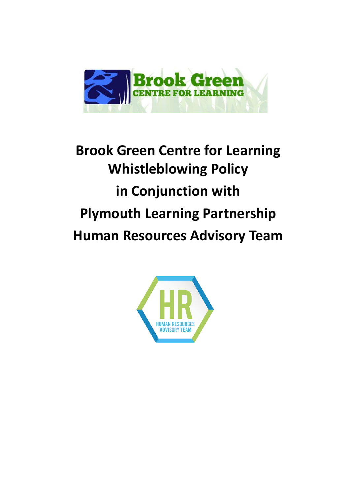

# **Brook Green Centre for Learning Whistleblowing Policy in Conjunction with Plymouth Learning Partnership Human Resources Advisory Team**

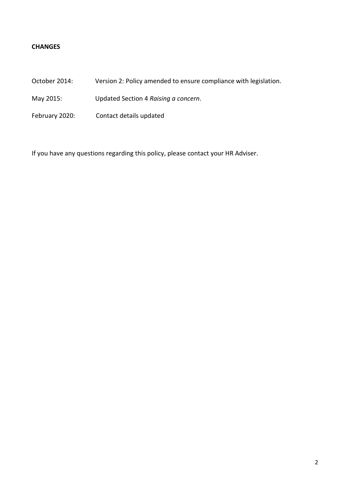#### **CHANGES**

| October 2014:  | Version 2: Policy amended to ensure compliance with legislation. |
|----------------|------------------------------------------------------------------|
| May 2015:      | Updated Section 4 Raising a concern.                             |
| February 2020: | Contact details updated                                          |

If you have any questions regarding this policy, please contact your HR Adviser.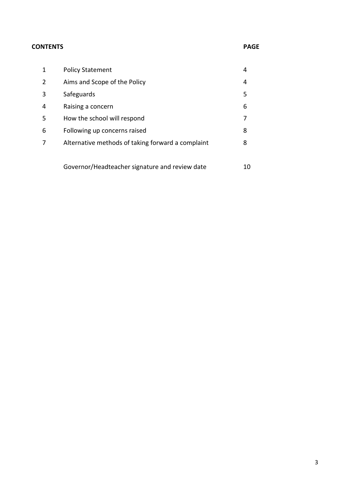#### **CONTENTS PAGE**

| 1 | <b>Policy Statement</b>                           | 4  |
|---|---------------------------------------------------|----|
| 2 | Aims and Scope of the Policy                      | 4  |
| 3 | Safeguards                                        | 5  |
| 4 | Raising a concern                                 | 6  |
| 5 | How the school will respond                       | 7  |
| 6 | Following up concerns raised                      | 8  |
| 7 | Alternative methods of taking forward a complaint | 8  |
|   |                                                   |    |
|   | Governor/Headteacher signature and review date    | 10 |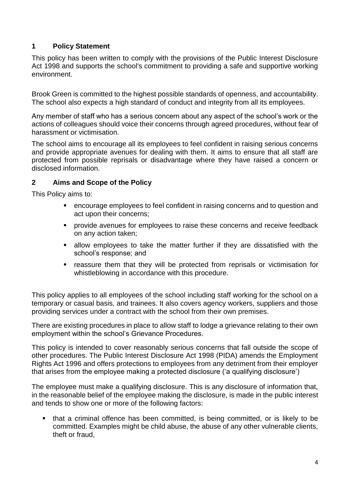### **1 Policy Statement**

This policy has been written to comply with the provisions of the Public Interest Disclosure Act 1998 and supports the school's commitment to providing a safe and supportive working environment.

Brook Green is committed to the highest possible standards of openness, and accountability. The school also expects a high standard of conduct and integrity from all its employees.

Any member of staff who has a serious concern about any aspect of the school's work or the actions of colleagues should voice their concerns through agreed procedures, without fear of harassment or victimisation.

The school aims to encourage all its employees to feel confident in raising serious concerns and provide appropriate avenues for dealing with them. It aims to ensure that all staff are protected from possible reprisals or disadvantage where they have raised a concern or disclosed information.

#### **2 Aims and Scope of the Policy**

This Policy aims to:

- encourage employees to feel confident in raising concerns and to question and act upon their concerns;
- provide avenues for employees to raise these concerns and receive feedback on any action taken;
- allow employees to take the matter further if they are dissatisfied with the school's response; and
- reassure them that they will be protected from reprisals or victimisation for whistleblowing in accordance with this procedure.

This policy applies to all employees of the school including staff working for the school on a temporary or casual basis, and trainees. It also covers agency workers, suppliers and those providing services under a contract with the school from their own premises.

There are existing procedures in place to allow staff to lodge a grievance relating to their own employment within the school's Grievance Procedures.

This policy is intended to cover reasonably serious concerns that fall outside the scope of other procedures. The Public Interest Disclosure Act 1998 (PIDA) amends the Employment Rights Act 1996 and offers protections to employees from any detriment from their employer that arises from the employee making a protected disclosure ('a qualifying disclosure')

The employee must make a qualifying disclosure. This is any disclosure of information that, in the reasonable belief of the employee making the disclosure, is made in the public interest and tends to show one or more of the following factors:

 that a criminal offence has been committed, is being committed, or is likely to be committed. Examples might be child abuse, the abuse of any other vulnerable clients, theft or fraud,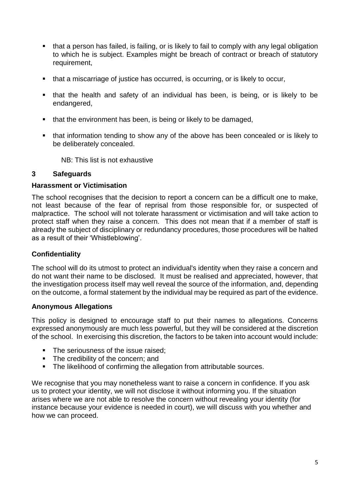- that a person has failed, is failing, or is likely to fail to comply with any legal obligation to which he is subject. Examples might be breach of contract or breach of statutory requirement,
- that a miscarriage of justice has occurred, is occurring, or is likely to occur,
- that the health and safety of an individual has been, is being, or is likely to be endangered,
- **that the environment has been, is being or likely to be damaged.**
- that information tending to show any of the above has been concealed or is likely to be deliberately concealed.

NB: This list is not exhaustive

### **3 Safeguards**

#### **Harassment or Victimisation**

The school recognises that the decision to report a concern can be a difficult one to make, not least because of the fear of reprisal from those responsible for, or suspected of malpractice. The school will not tolerate harassment or victimisation and will take action to protect staff when they raise a concern. This does not mean that if a member of staff is already the subject of disciplinary or redundancy procedures, those procedures will be halted as a result of their 'Whistleblowing'.

#### **Confidentiality**

The school will do its utmost to protect an individual's identity when they raise a concern and do not want their name to be disclosed. It must be realised and appreciated, however, that the investigation process itself may well reveal the source of the information, and, depending on the outcome, a formal statement by the individual may be required as part of the evidence.

#### **Anonymous Allegations**

This policy is designed to encourage staff to put their names to allegations. Concerns expressed anonymously are much less powerful, but they will be considered at the discretion of the school. In exercising this discretion, the factors to be taken into account would include:

- The seriousness of the issue raised;
- The credibility of the concern: and
- The likelihood of confirming the allegation from attributable sources.

We recognise that you may nonetheless want to raise a concern in confidence. If you ask us to protect your identity, we will not disclose it without informing you. If the situation arises where we are not able to resolve the concern without revealing your identity (for instance because your evidence is needed in court), we will discuss with you whether and how we can proceed.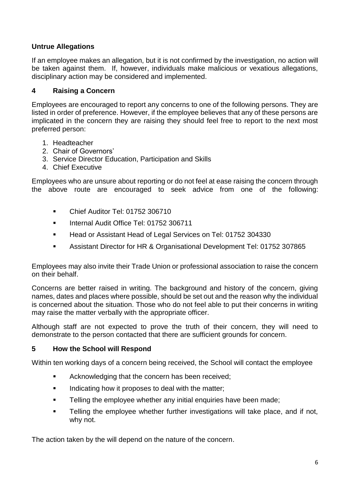### **Untrue Allegations**

If an employee makes an allegation, but it is not confirmed by the investigation, no action will be taken against them. If, however, individuals make malicious or vexatious allegations, disciplinary action may be considered and implemented.

#### **4 Raising a Concern**

Employees are encouraged to report any concerns to one of the following persons. They are listed in order of preference. However, if the employee believes that any of these persons are implicated in the concern they are raising they should feel free to report to the next most preferred person:

- 1. Headteacher
- 2. Chair of Governors'
- 3. Service Director Education, Participation and Skills
- 4. Chief Executive

Employees who are unsure about reporting or do not feel at ease raising the concern through the above route are encouraged to seek advice from one of the following:

- Chief Auditor Tel: 01752 306710
- Internal Audit Office Tel: 01752 306711
- Head or Assistant Head of Legal Services on Tel: 01752 304330
- Assistant Director for HR & Organisational Development Tel: 01752 307865

Employees may also invite their Trade Union or professional association to raise the concern on their behalf.

Concerns are better raised in writing. The background and history of the concern, giving names, dates and places where possible, should be set out and the reason why the individual is concerned about the situation. Those who do not feel able to put their concerns in writing may raise the matter verbally with the appropriate officer.

Although staff are not expected to prove the truth of their concern, they will need to demonstrate to the person contacted that there are sufficient grounds for concern.

#### **5 How the School will Respond**

Within ten working days of a concern being received, the School will contact the employee

- Acknowledging that the concern has been received;
- Indicating how it proposes to deal with the matter;
- **Telling the employee whether any initial enquiries have been made;**
- **Telling the employee whether further investigations will take place, and if not,** why not.

The action taken by the will depend on the nature of the concern.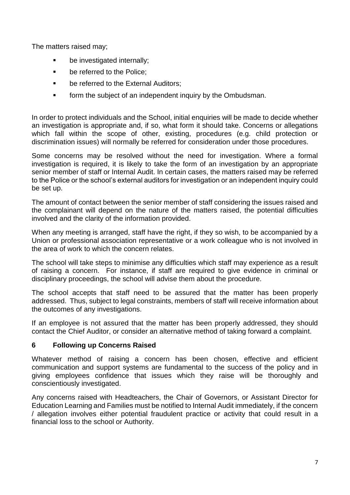The matters raised may;

- be investigated internally;
- **•** be referred to the Police;
- **•** be referred to the External Auditors;
- **form the subject of an independent inquiry by the Ombudsman.**

In order to protect individuals and the School, initial enquiries will be made to decide whether an investigation is appropriate and, if so, what form it should take. Concerns or allegations which fall within the scope of other, existing, procedures (e.g. child protection or discrimination issues) will normally be referred for consideration under those procedures.

Some concerns may be resolved without the need for investigation. Where a formal investigation is required, it is likely to take the form of an investigation by an appropriate senior member of staff or Internal Audit. In certain cases, the matters raised may be referred to the Police or the school's external auditors for investigation or an independent inquiry could be set up.

The amount of contact between the senior member of staff considering the issues raised and the complainant will depend on the nature of the matters raised, the potential difficulties involved and the clarity of the information provided.

When any meeting is arranged, staff have the right, if they so wish, to be accompanied by a Union or professional association representative or a work colleague who is not involved in the area of work to which the concern relates.

The school will take steps to minimise any difficulties which staff may experience as a result of raising a concern. For instance, if staff are required to give evidence in criminal or disciplinary proceedings, the school will advise them about the procedure.

The school accepts that staff need to be assured that the matter has been properly addressed. Thus, subject to legal constraints, members of staff will receive information about the outcomes of any investigations.

If an employee is not assured that the matter has been properly addressed, they should contact the Chief Auditor, or consider an alternative method of taking forward a complaint.

#### **6 Following up Concerns Raised**

Whatever method of raising a concern has been chosen, effective and efficient communication and support systems are fundamental to the success of the policy and in giving employees confidence that issues which they raise will be thoroughly and conscientiously investigated.

Any concerns raised with Headteachers, the Chair of Governors, or Assistant Director for Education Learning and Families must be notified to Internal Audit immediately, if the concern / allegation involves either potential fraudulent practice or activity that could result in a financial loss to the school or Authority.